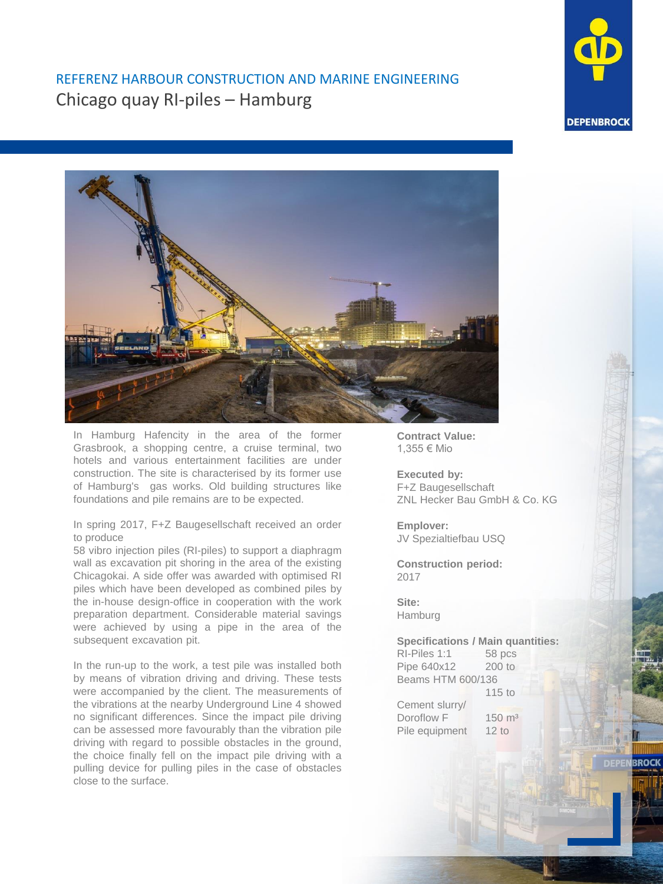

## REFERENZ HARBOUR CONSTRUCTION AND MARINE ENGINEERING Chicago quay RI-piles – Hamburg



In Hamburg Hafencity in the area of the former Grasbrook, a shopping centre, a cruise terminal, two hotels and various entertainment facilities are under construction. The site is characterised by its former use of Hamburg's gas works. Old building structures like foundations and pile remains are to be expected.

## In spring 2017, F+Z Baugesellschaft received an order to produce

58 vibro injection piles (RI-piles) to support a diaphragm wall as excavation pit shoring in the area of the existing Chicagokai. A side offer was awarded with optimised RI piles which have been developed as combined piles by the in-house design-office in cooperation with the work preparation department. Considerable material savings were achieved by using a pipe in the area of the subsequent excavation pit.

In the run-up to the work, a test pile was installed both by means of vibration driving and driving. These tests were accompanied by the client. The measurements of the vibrations at the nearby Underground Line 4 showed no significant differences. Since the impact pile driving can be assessed more favourably than the vibration pile driving with regard to possible obstacles in the ground, the choice finally fell on the impact pile driving with a pulling device for pulling piles in the case of obstacles close to the surface.

**Contract Value:** 1,355 € Mio

**Executed by:** F+Z Baugesellschaft ZNL Hecker Bau GmbH & Co. KG

**Emplover:** JV Spezialtiefbau USQ

**Construction period:** 2017

**Site:** Hamburg

**Specifications / Main quantities:**

RI-Piles 1:1 58 pcs Pipe 640x12 200 to Beams HTM 600/136 115 to Cement slurry/ Doroflow F 150 m<sup>3</sup> Pile equipment 12 to

**BROCK**